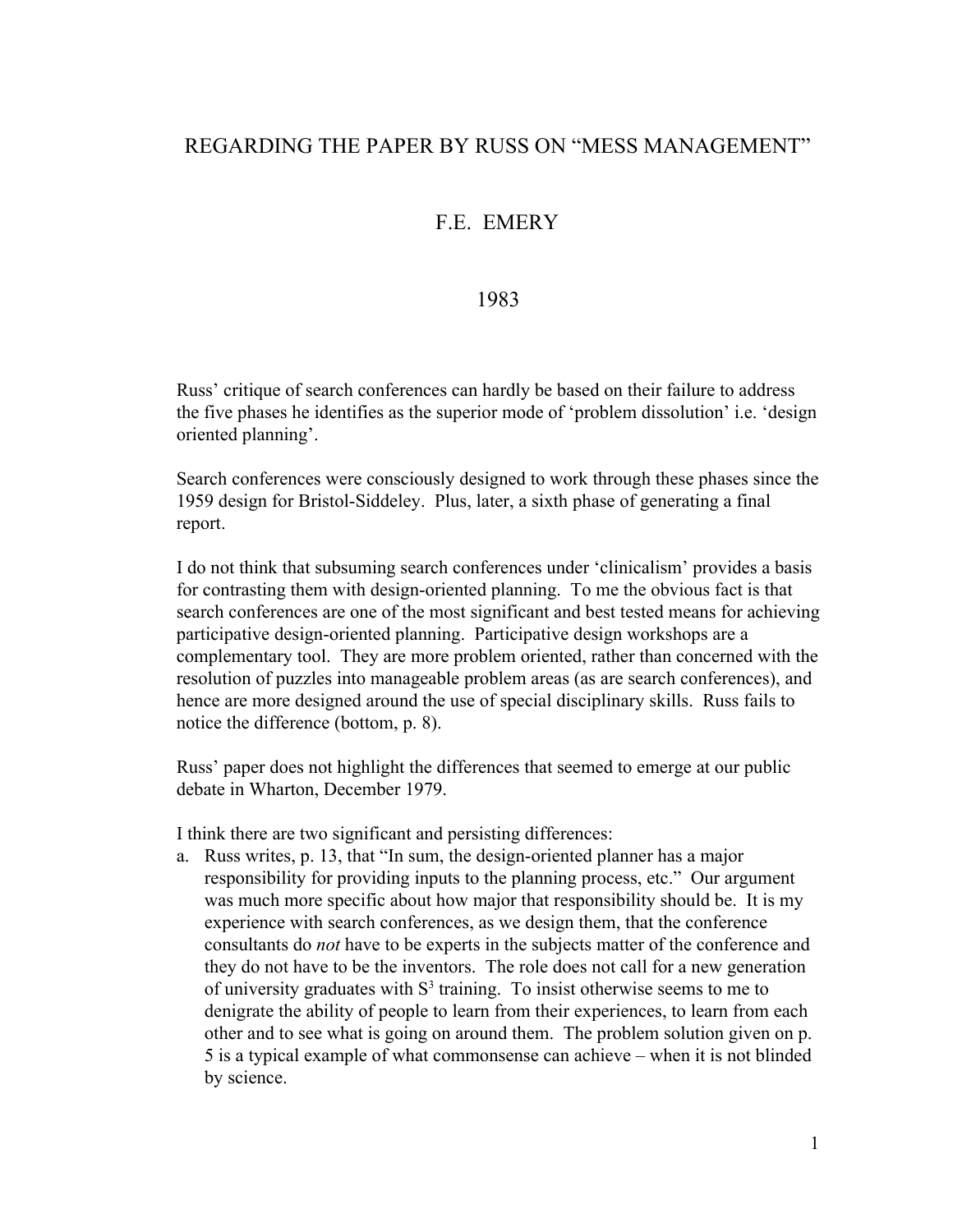## REGARDING THE PAPER BY RUSS ON "MESS MANAGEMENT"

## F.E. EMERY

## 1983

Russ' critique of search conferences can hardly be based on their failure to address the five phases he identifies as the superior mode of 'problem dissolution' i.e. 'design oriented planning'.

Search conferences were consciously designed to work through these phases since the 1959 design for Bristol-Siddeley. Plus, later, a sixth phase of generating a final report.

I do not think that subsuming search conferences under 'clinicalism' provides a basis for contrasting them with design-oriented planning. To me the obvious fact is that search conferences are one of the most significant and best tested means for achieving participative design-oriented planning. Participative design workshops are a complementary tool. They are more problem oriented, rather than concerned with the resolution of puzzles into manageable problem areas (as are search conferences), and hence are more designed around the use of special disciplinary skills. Russ fails to notice the difference (bottom, p. 8).

Russ' paper does not highlight the differences that seemed to emerge at our public debate in Wharton, December 1979.

I think there are two significant and persisting differences:

a. Russ writes, p. 13, that "In sum, the design-oriented planner has a major responsibility for providing inputs to the planning process, etc." Our argument was much more specific about how major that responsibility should be. It is my experience with search conferences, as we design them, that the conference consultants do *not* have to be experts in the subjects matter of the conference and they do not have to be the inventors. The role does not call for a new generation of university graduates with  $S<sup>3</sup>$  training. To insist otherwise seems to me to denigrate the ability of people to learn from their experiences, to learn from each other and to see what is going on around them. The problem solution given on p. 5 is a typical example of what commonsense can achieve – when it is not blinded by science.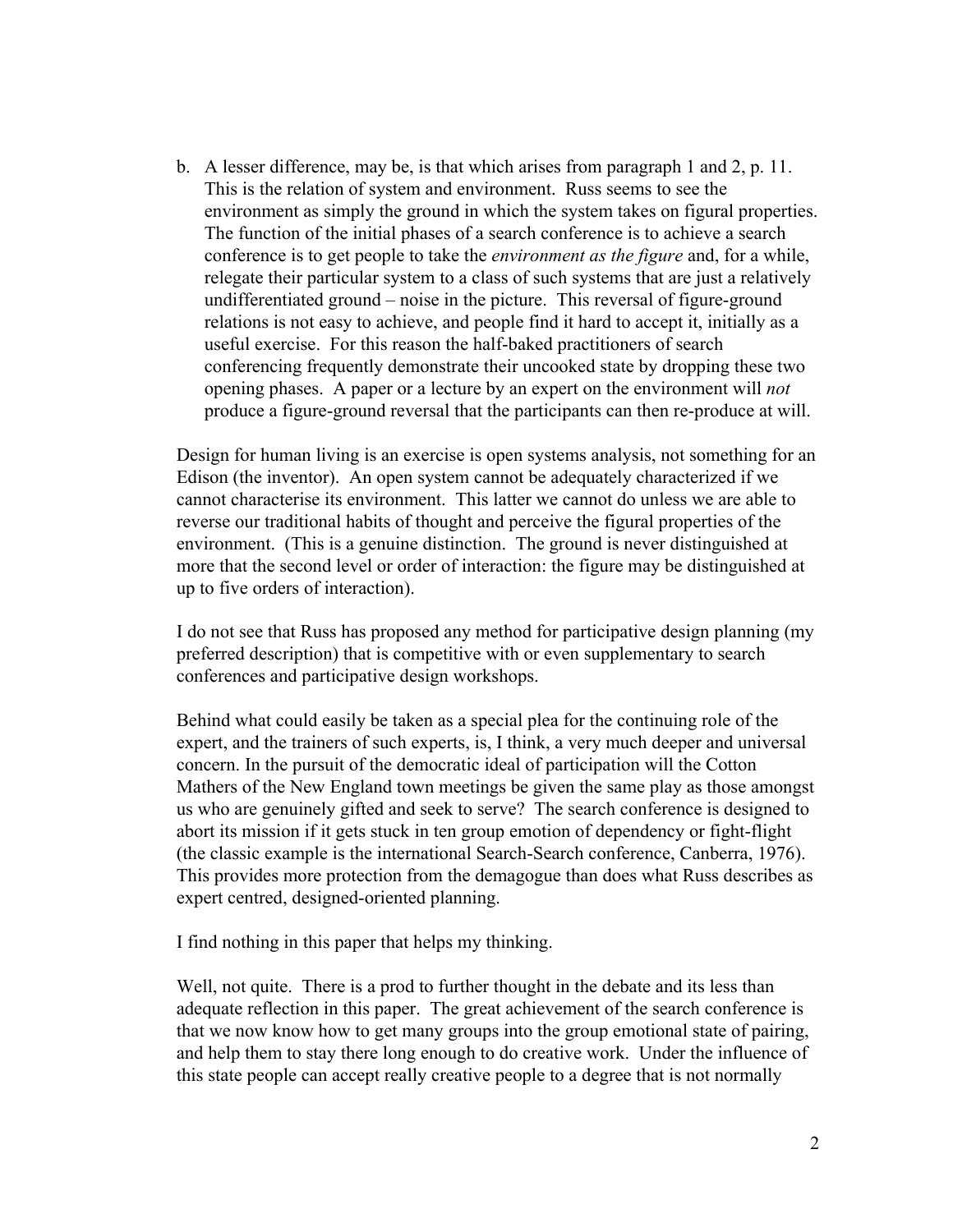b. A lesser difference, may be, is that which arises from paragraph 1 and 2, p. 11. This is the relation of system and environment. Russ seems to see the environment as simply the ground in which the system takes on figural properties. The function of the initial phases of a search conference is to achieve a search conference is to get people to take the *environment as the figure* and, for a while, relegate their particular system to a class of such systems that are just a relatively undifferentiated ground – noise in the picture. This reversal of figure-ground relations is not easy to achieve, and people find it hard to accept it, initially as a useful exercise. For this reason the half-baked practitioners of search conferencing frequently demonstrate their uncooked state by dropping these two opening phases. A paper or a lecture by an expert on the environment will *not* produce a figure-ground reversal that the participants can then re-produce at will.

Design for human living is an exercise is open systems analysis, not something for an Edison (the inventor). An open system cannot be adequately characterized if we cannot characterise its environment. This latter we cannot do unless we are able to reverse our traditional habits of thought and perceive the figural properties of the environment. (This is a genuine distinction. The ground is never distinguished at more that the second level or order of interaction: the figure may be distinguished at up to five orders of interaction).

I do not see that Russ has proposed any method for participative design planning (my preferred description) that is competitive with or even supplementary to search conferences and participative design workshops.

Behind what could easily be taken as a special plea for the continuing role of the expert, and the trainers of such experts, is, I think, a very much deeper and universal concern. In the pursuit of the democratic ideal of participation will the Cotton Mathers of the New England town meetings be given the same play as those amongst us who are genuinely gifted and seek to serve? The search conference is designed to abort its mission if it gets stuck in ten group emotion of dependency or fight-flight (the classic example is the international Search-Search conference, Canberra, 1976). This provides more protection from the demagogue than does what Russ describes as expert centred, designed-oriented planning.

I find nothing in this paper that helps my thinking.

Well, not quite. There is a prod to further thought in the debate and its less than adequate reflection in this paper. The great achievement of the search conference is that we now know how to get many groups into the group emotional state of pairing, and help them to stay there long enough to do creative work. Under the influence of this state people can accept really creative people to a degree that is not normally